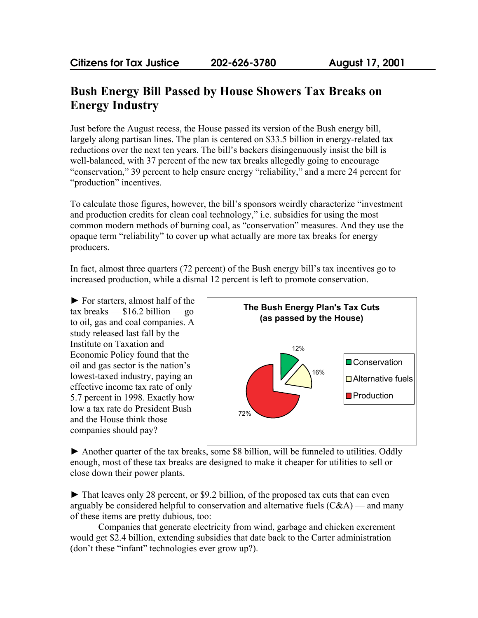## **Bush Energy Bill Passed by House Showers Tax Breaks on Energy Industry**

Just before the August recess, the House passed its version of the Bush energy bill, largely along partisan lines. The plan is centered on \$33.5 billion in energy-related tax reductions over the next ten years. The bill's backers disingenuously insist the bill is well-balanced, with 37 percent of the new tax breaks allegedly going to encourage "conservation," 39 percent to help ensure energy "reliability," and a mere 24 percent for "production" incentives.

To calculate those figures, however, the bill's sponsors weirdly characterize "investment and production credits for clean coal technology," i.e. subsidies for using the most common modern methods of burning coal, as "conservation" measures. And they use the opaque term "reliability" to cover up what actually are more tax breaks for energy producers.

In fact, almost three quarters (72 percent) of the Bush energy bill's tax incentives go to increased production, while a dismal 12 percent is left to promote conservation.

► For starters, almost half of the  $\text{tax breaks}$  — \$16.2 billion — go to oil, gas and coal companies. A study released last fall by the Institute on Taxation and Economic Policy found that the oil and gas sector is the nation's lowest-taxed industry, paying an effective income tax rate of only 5.7 percent in 1998. Exactly how low a tax rate do President Bush and the House think those companies should pay?



► Another quarter of the tax breaks, some \$8 billion, will be funneled to utilities. Oddly enough, most of these tax breaks are designed to make it cheaper for utilities to sell or close down their power plants.

 $\blacktriangleright$  That leaves only 28 percent, or \$9.2 billion, of the proposed tax cuts that can even arguably be considered helpful to conservation and alternative fuels  $(C\&A)$  — and many of these items are pretty dubious, too:

Companies that generate electricity from wind, garbage and chicken excrement would get \$2.4 billion, extending subsidies that date back to the Carter administration (don't these "infant" technologies ever grow up?).